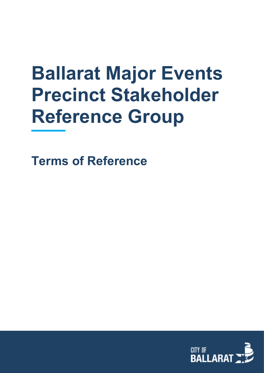# **Ballarat Major Events Precinct Stakeholder Reference Group**

**Terms of Reference**

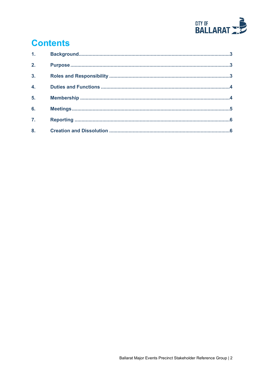

# **Contents**

| 1 <sub>1</sub>   |  |
|------------------|--|
| 2.               |  |
| $\overline{3}$ . |  |
| $\overline{4}$ . |  |
| 5.               |  |
| 6.               |  |
| $\overline{7}$ . |  |
| 8.               |  |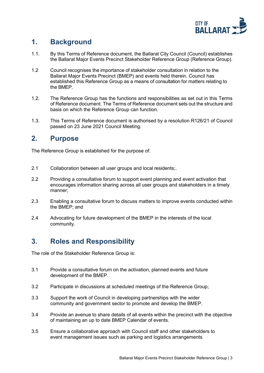

#### <span id="page-2-0"></span>**1. Background**

- 1.1. By this Terms of Reference document, the Ballarat City Council (Council) establishes the Ballarat Major Events Precinct Stakeholder Reference Group (Reference Group).
- 1.2 Council recognises the importance of stakeholder consultation in relation to the Ballarat Major Events Precinct (BMEP) and events held therein. Council has established this Reference Group as a means of consultation for matters relating to the BMEP.
- 1.2. The Reference Group has the functions and responsibilities as set out in this Terms of Reference document. The Terms of Reference document sets out the structure and basis on which the Reference Group can function.
- 1.3. This Terms of Reference document is authorised by a resolution R126/21 of Council passed on 23 June 2021 Council Meeting.

#### <span id="page-2-1"></span>**2. Purpose**

The Reference Group is established for the purpose of:

- 2.1 Collaboration between all user groups and local residents;.
- 2.2 Providing a consultative forum to support event planning and event activation that encourages information sharing across all user groups and stakeholders in a timely manner;
- 2.3 Enabling a consultative forum to discuss matters to improve events conducted within the BMEP; and
- <span id="page-2-2"></span>2.4 Advocating for future development of the BMEP in the interests of the local community.

## **3. Roles and Responsibility**

The role of the Stakeholder Reference Group is:

- 3.1 Provide a consultative forum on the activation, planned events and future development of the BMEP.
- 3.2 Participate in discussions at scheduled meetings of the Reference Group;
- 3.3 Support the work of Council in developing partnerships with the wider community and government sector to promote and develop the BMEP.
- 3.4 Provide an avenue to share details of all events within the precinct with the objective of maintaining an up to date BMEP Calendar of events.
- 3.5 Ensure a collaborative approach with Council staff and other stakeholders to event management issues such as parking and logistics arrangements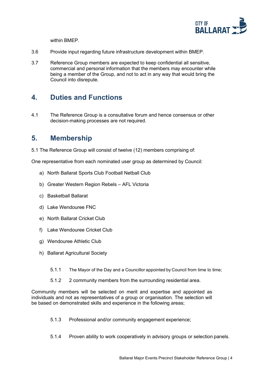

within BMEP.

- 3.6 Provide input regarding future infrastructure development within BMEP.
- 3.7 Reference Group members are expected to keep confidential all sensitive, commercial and personal information that the members may encounter while being a member of the Group, and not to act in any way that would bring the Council into disrepute.

#### <span id="page-3-0"></span>**4. Duties and Functions**

4.1 The Reference Group is a consultative forum and hence consensus or other decision-making processes are not required.

#### <span id="page-3-1"></span>**5. Membership**

5.1 The Reference Group will consist of twelve (12) members comprising of:

One representative from each nominated user group as determined by Council:

- a) North Ballarat Sports Club Football Netball Club
- b) Greater Western Region Rebels AFL Victoria
- c) Basketball Ballarat
- d) Lake Wendouree FNC
- e) North Ballarat Cricket Club
- f) Lake Wendouree Cricket Club
- g) Wendouree Athletic Club
- h) Ballarat Agricultural Society
	- 5.1.1 The Mayor of the Day and a Councillor appointed by Council from time to time;
	- 5.1.2 2 community members from the surrounding residential area.

Community members will be selected on merit and expertise and appointed as individuals and not as representatives of a group or organisation. The selection will be based on demonstrated skills and experience in the following areas;

- 5.1.3 Professional and/or community engagement experience;
- 5.1.4 Proven ability to work cooperatively in advisory groups or selection panels.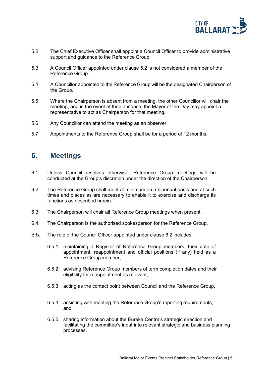

- 5.2 The Chief Executive Officer shall appoint a Council Officer to provide administrative support and guidance to the Reference Group.
- 5.3 A Council Officer appointed under clause 5.2 is not considered a member of the Reference Group.
- 5.4 A Councillor appointed to the Reference Group will be the designated Chairperson of the Group.
- 5.5 Where the Chairperson is absent from a meeting, the other Councillor will chair the meeting, and in the event of their absence, the Mayor of the Day may appoint a representative to act as Chairperson for that meeting.
- 5.6 Any Councillor can attend the meeting as an observer.
- 5.7 Appointments to the Reference Group shall be for a period of 12 months.

#### <span id="page-4-0"></span>**6. Meetings**

- 6.1. Unless Council resolves otherwise, Reference Group meetings will be conducted at the Group's discretion under the direction of the Chairperson.
- 6.2. The Reference Group shall meet at minimum on a biannual basis and at such times and places as are necessary to enable it to exercise and discharge its functions as described herein.
- 6.3. The Chairperson will chair all Reference Group meetings when present.
- 6.4. The Chairperson is the authorised spokesperson for the Reference Group.
- 6.5. The role of the Council Officer appointed under clause 6.2 includes:
	- 6.5.1. maintaining a Register of Reference Group members, their date of appointment, reappointment and official positions (if any) held as a Reference Group member,
	- 6.5.2. advising Reference Group members of term completion dates and their eligibility for reappointment as relevant,
	- 6.5.3. acting as the contact point between Council and the Reference Group,
	- 6.5.4. assisting with meeting the Reference Group's reporting requirements; and,
	- 6.5.5. sharing information about the Eureka Centre's strategic direction and facilitating the committee's input into relevant strategic and business planning processes.